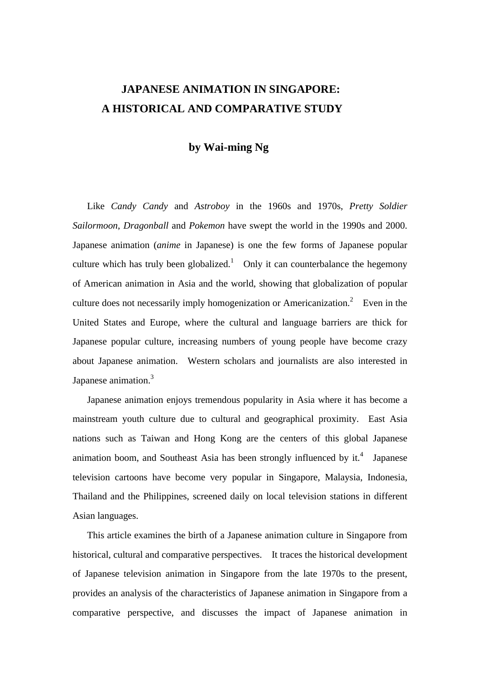# **JAPANESE ANIMATION IN SINGAPORE: A HISTORICAL AND COMPARATIVE STUDY**

## **by Wai-ming Ng**

Like *Candy Candy* and *Astroboy* in the 1960s and 1970s, *Pretty Soldier Sailormoon*, *Dragonball* and *Pokemon* have swept the world in the 1990s and 2000. Japanese animation (*anime* in Japanese) is one the few forms of Japanese popular culture which has truly been globalized.<sup>1</sup> Only it can counterbalance the hegemony of American animation in Asia and the world, showing that globalization of popular culture does not necessarily imply homogenization or Americanization.<sup>2</sup> Even in the United States and Europe, where the cultural and language barriers are thick for Japanese popular culture, increasing numbers of young people have become crazy about Japanese animation. Western scholars and journalists are also interested in Japanese animation.<sup>3</sup>

Japanese animation enjoys tremendous popularity in Asia where it has become a mainstream youth culture due to cultural and geographical proximity. East Asia nations such as Taiwan and Hong Kong are the centers of this global Japanese animation boom, and Southeast Asia has been strongly influenced by it.<sup>4</sup> Japanese television cartoons have become very popular in Singapore, Malaysia, Indonesia, Thailand and the Philippines, screened daily on local television stations in different Asian languages.

This article examines the birth of a Japanese animation culture in Singapore from historical, cultural and comparative perspectives. It traces the historical development of Japanese television animation in Singapore from the late 1970s to the present, provides an analysis of the characteristics of Japanese animation in Singapore from a comparative perspective, and discusses the impact of Japanese animation in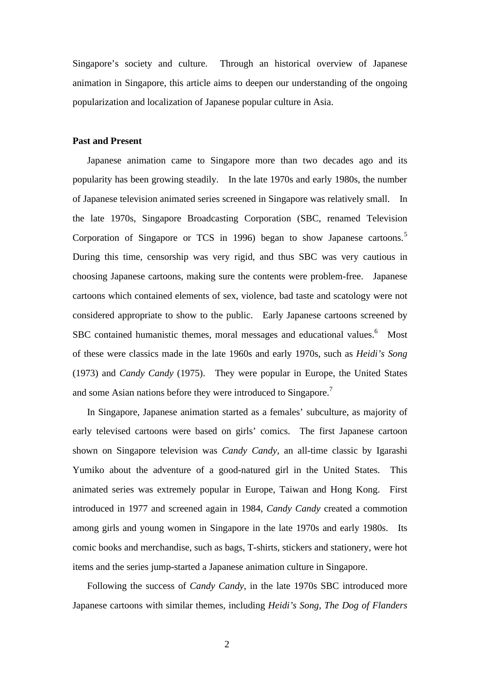Singapore's society and culture. Through an historical overview of Japanese animation in Singapore, this article aims to deepen our understanding of the ongoing popularization and localization of Japanese popular culture in Asia.

## **Past and Present**

Japanese animation came to Singapore more than two decades ago and its popularity has been growing steadily. In the late 1970s and early 1980s, the number of Japanese television animated series screened in Singapore was relatively small. In the late 1970s, Singapore Broadcasting Corporation (SBC, renamed Television Corporation of Singapore or TCS in 1996) began to show Japanese cartoons.<sup>5</sup> During this time, censorship was very rigid, and thus SBC was very cautious in choosing Japanese cartoons, making sure the contents were problem-free. Japanese cartoons which contained elements of sex, violence, bad taste and scatology were not considered appropriate to show to the public. Early Japanese cartoons screened by SBC contained humanistic themes, moral messages and educational values.<sup>6</sup> Most of these were classics made in the late 1960s and early 1970s, such as *Heidi's Song* (1973) and *Candy Candy* (1975). They were popular in Europe, the United States and some Asian nations before they were introduced to Singapore.<sup>7</sup>

In Singapore, Japanese animation started as a females' subculture, as majority of early televised cartoons were based on girls' comics. The first Japanese cartoon shown on Singapore television was *Candy Candy*, an all-time classic by Igarashi Yumiko about the adventure of a good-natured girl in the United States. This animated series was extremely popular in Europe, Taiwan and Hong Kong. First introduced in 1977 and screened again in 1984, *Candy Candy* created a commotion among girls and young women in Singapore in the late 1970s and early 1980s. Its comic books and merchandise, such as bags, T-shirts, stickers and stationery, were hot items and the series jump-started a Japanese animation culture in Singapore.

Following the success of *Candy Candy*, in the late 1970s SBC introduced more Japanese cartoons with similar themes, including *Heidi's Song*, *The Dog of Flanders*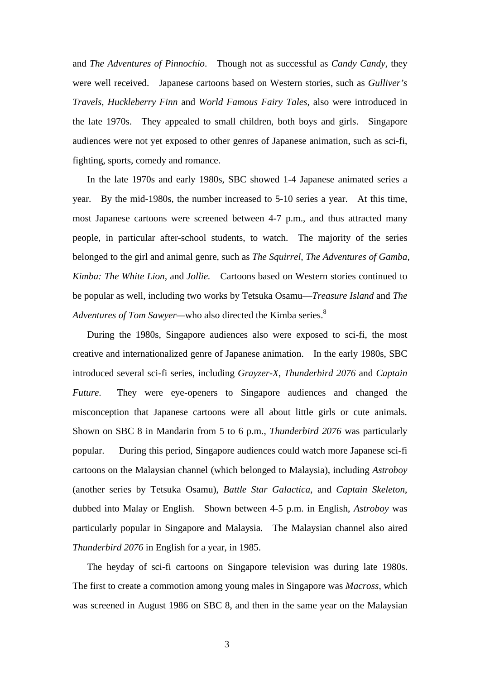and *The Adventures of Pinnochio*. Though not as successful as *Candy Candy*, they were well received. Japanese cartoons based on Western stories, such as *Gulliver's Travels, Huckleberry Finn* and *World Famous Fairy Tales,* also were introduced in the late 1970s. They appealed to small children, both boys and girls. Singapore audiences were not yet exposed to other genres of Japanese animation, such as sci-fi, fighting, sports, comedy and romance.

In the late 1970s and early 1980s, SBC showed 1-4 Japanese animated series a year. By the mid-1980s, the number increased to 5-10 series a year. At this time, most Japanese cartoons were screened between 4-7 p.m., and thus attracted many people, in particular after-school students, to watch. The majority of the series belonged to the girl and animal genre, such as *The Squirrel, The Adventures of Gamba, Kimba: The White Lion*, and *Jollie.* Cartoons based on Western stories continued to be popular as well, including two works by Tetsuka Osamu— *Treasure Island* and *The Adventures of Tom Sawyer—* who also directed the Kimba series.<sup>8</sup>

During the 1980s, Singapore audiences also were exposed to sci-fi, the most creative and internationalized genre of Japanese animation. In the early 1980s, SBC introduced several sci-fi series, including *Grayzer-X*, *Thunderbird 2076* and *Captain Future*. They were eye-openers to Singapore audiences and changed the misconception that Japanese cartoons were all about little girls or cute animals. Shown on SBC 8 in Mandarin from 5 to 6 p.m., *Thunderbird 2076* was particularly popular. During this period, Singapore audiences could watch more Japanese sci-fi cartoons on the Malaysian channel (which belonged to Malaysia), including *Astroboy* (another series by Tetsuka Osamu), *Battle Star Galactica*, and *Captain Skeleton*, dubbed into Malay or English. Shown between 4-5 p.m. in English, *Astroboy* was particularly popular in Singapore and Malaysia. The Malaysian channel also aired *Thunderbird 2076* in English for a year, in 1985.

The heyday of sci-fi cartoons on Singapore television was during late 1980s. The first to create a commotion among young males in Singapore was *Macross*, which was screened in August 1986 on SBC 8, and then in the same year on the Malaysian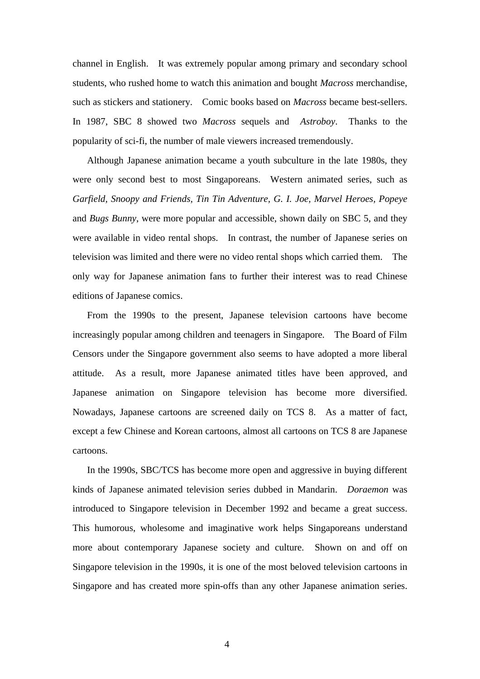channel in English. It was extremely popular among primary and secondary school students, who rushed home to watch this animation and bought *Macross* merchandise, such as stickers and stationery. Comic books based on *Macross* became best-sellers. In 1987, SBC 8 showed two *Macross* sequels and *Astroboy*. Thanks to the popularity of sci-fi, the number of male viewers increased tremendously.

Although Japanese animation became a youth subculture in the late 1980s, they were only second best to most Singaporeans. Western animated series, such as *Garfield, Snoopy and Friends, Tin Tin Adventure, G. I. Joe, Marvel Heroes, Popeye* and *Bugs Bunny*, were more popular and accessible, shown daily on SBC 5, and they were available in video rental shops. In contrast, the number of Japanese series on television was limited and there were no video rental shops which carried them. The only way for Japanese animation fans to further their interest was to read Chinese editions of Japanese comics.

From the 1990s to the present, Japanese television cartoons have become increasingly popular among children and teenagers in Singapore. The Board of Film Censors under the Singapore government also seems to have adopted a more liberal attitude. As a result, more Japanese animated titles have been approved, and Japanese animation on Singapore television has become more diversified. Nowadays, Japanese cartoons are screened daily on TCS 8. As a matter of fact, except a few Chinese and Korean cartoons, almost all cartoons on TCS 8 are Japanese cartoons.

In the 1990s, SBC/TCS has become more open and aggressive in buying different kinds of Japanese animated television series dubbed in Mandarin. *Doraemon* was introduced to Singapore television in December 1992 and became a great success. This humorous, wholesome and imaginative work helps Singaporeans understand more about contemporary Japanese society and culture. Shown on and off on Singapore television in the 1990s, it is one of the most beloved television cartoons in Singapore and has created more spin-offs than any other Japanese animation series.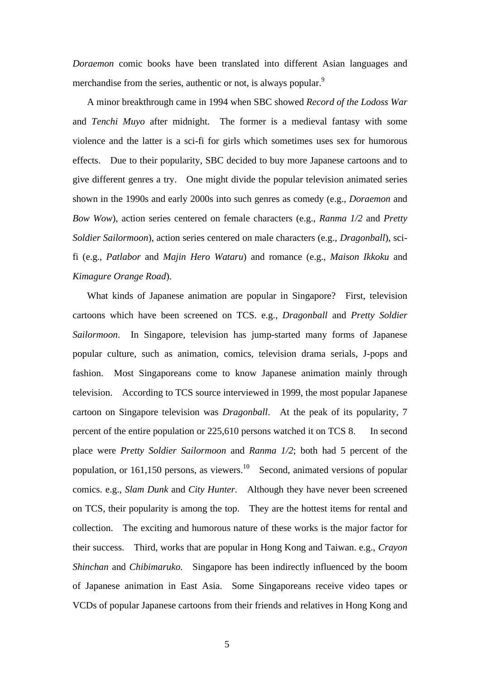*Doraemon* comic books have been translated into different Asian languages and merchandise from the series, authentic or not, is always popular.<sup>9</sup>

A minor breakthrough came in 1994 when SBC showed *Record of the Lodoss War* and *Tenchi Muyo* after midnight. The former is a medieval fantasy with some violence and the latter is a sci-fi for girls which sometimes uses sex for humorous effects. Due to their popularity, SBC decided to buy more Japanese cartoons and to give different genres a try. One might divide the popular television animated series shown in the 1990s and early 2000s into such genres as comedy (e.g., *Doraemon* and *Bow Wow*), action series centered on female characters (e.g., *Ranma 1/2* and *Pretty Soldier Sailormoon*), action series centered on male characters (e.g., *Dragonball*), scifi (e.g., *Patlabor* and *Majin Hero Wataru*) and romance (e.g., *Maison Ikkoku* and *Kimagure Orange Road*).

What kinds of Japanese animation are popular in Singapore? First, television cartoons which have been screened on TCS. e.g., *Dragonball* and *Pretty Soldier Sailormoon*. In Singapore, television has jump-started many forms of Japanese popular culture, such as animation, comics, television drama serials, J-pops and fashion. Most Singaporeans come to know Japanese animation mainly through television. According to TCS source interviewed in 1999, the most popular Japanese cartoon on Singapore television was *Dragonball*. At the peak of its popularity, 7 percent of the entire population or 225,610 persons watched it on TCS 8. In second place were *Pretty Soldier Sailormoon* and *Ranma 1/2*; both had 5 percent of the population, or 161,150 persons, as viewers.<sup>10</sup> Second, animated versions of popular comics. e.g., *Slam Dunk* and *City Hunter.* Although they have never been screened on TCS, their popularity is among the top. They are the hottest items for rental and collection. The exciting and humorous nature of these works is the major factor for their success. Third, works that are popular in Hong Kong and Taiwan. e.g., *Crayon Shinchan* and *Chibimaruko*. Singapore has been indirectly influenced by the boom of Japanese animation in East Asia. Some Singaporeans receive video tapes or VCDs of popular Japanese cartoons from their friends and relatives in Hong Kong and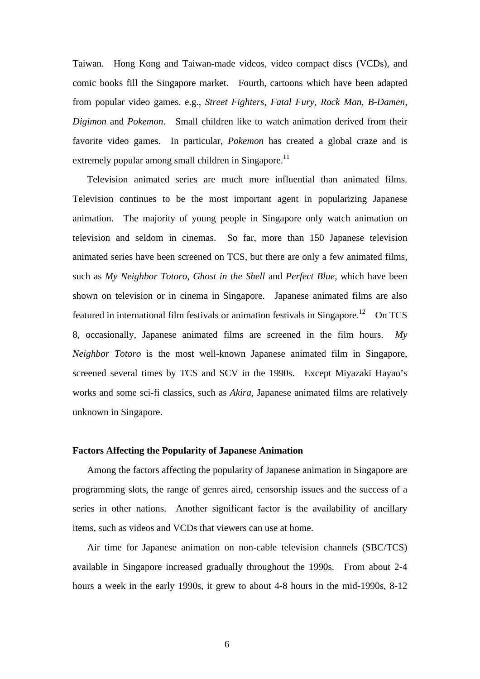Taiwan. Hong Kong and Taiwan-made videos, video compact discs (VCDs), and comic books fill the Singapore market. Fourth, cartoons which have been adapted from popular video games. e.g., *Street Fighters*, *Fatal Fury*, *Rock Man, B-Damen, Digimon* and *Pokemon*. Small children like to watch animation derived from their favorite video games. In particular, *Pokemon* has created a global craze and is extremely popular among small children in Singapore.<sup>11</sup>

Television animated series are much more influential than animated films. Television continues to be the most important agent in popularizing Japanese animation. The majority of young people in Singapore only watch animation on television and seldom in cinemas. So far, more than 150 Japanese television animated series have been screened on TCS, but there are only a few animated films, such as *My Neighbor Totoro*, *Ghost in the Shell* and *Perfect Blue,* which have been shown on television or in cinema in Singapore. Japanese animated films are also featured in international film festivals or animation festivals in Singapore.<sup>12</sup> On TCS 8, occasionally, Japanese animated films are screened in the film hours. *My Neighbor Totoro* is the most well-known Japanese animated film in Singapore, screened several times by TCS and SCV in the 1990s. Except Miyazaki Hayao's works and some sci-fi classics, such as *Akira*, Japanese animated films are relatively unknown in Singapore.

#### **Factors Affecting the Popularity of Japanese Animation**

Among the factors affecting the popularity of Japanese animation in Singapore are programming slots, the range of genres aired, censorship issues and the success of a series in other nations. Another significant factor is the availability of ancillary items, such as videos and VCDs that viewers can use at home.

Air time for Japanese animation on non-cable television channels (SBC/TCS) available in Singapore increased gradually throughout the 1990s. From about 2-4 hours a week in the early 1990s, it grew to about 4-8 hours in the mid-1990s, 8-12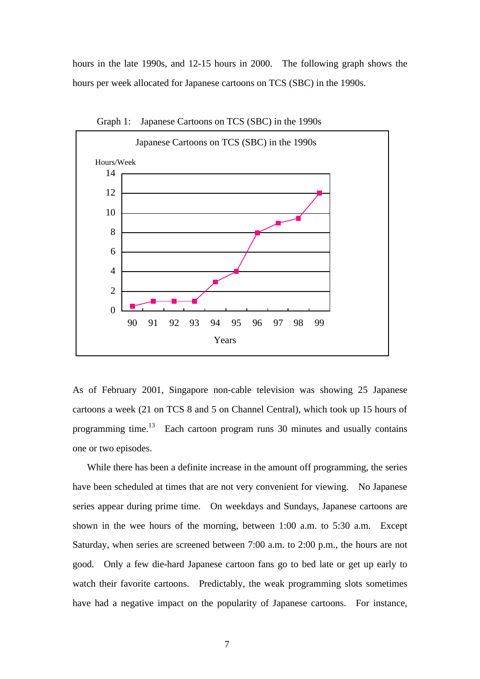hours in the late 1990s, and 12-15 hours in 2000. The following graph shows the hours per week allocated for Japanese cartoons on TCS (SBC) in the 1990s.



Graph 1: Japanese Cartoons on TCS (SBC) in the 1990s

As of February 2001, Singapore non-cable television was showing 25 Japanese cartoons a week (21 on TCS 8 and 5 on Channel Central), which took up 15 hours of programming time.<sup>13</sup> Each cartoon program runs 30 minutes and usually contains one or two episodes.

While there has been a definite increase in the amount off programming, the series have been scheduled at times that are not very convenient for viewing. No Japanese series appear during prime time. On weekdays and Sundays, Japanese cartoons are shown in the wee hours of the morning, between 1:00 a.m. to 5:30 a.m. Except Saturday, when series are screened between 7:00 a.m. to 2:00 p.m., the hours are not good. Only a few die-hard Japanese cartoon fans go to bed late or get up early to watch their favorite cartoons. Predictably, the weak programming slots sometimes have had a negative impact on the popularity of Japanese cartoons. For instance,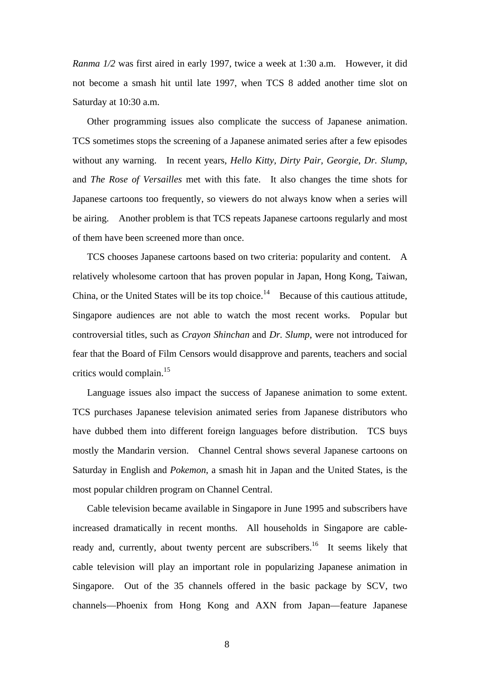*Ranma 1/2* was first aired in early 1997, twice a week at 1:30 a.m. However, it did not become a smash hit until late 1997, when TCS 8 added another time slot on Saturday at 10:30 a.m.

Other programming issues also complicate the success of Japanese animation. TCS sometimes stops the screening of a Japanese animated series after a few episodes without any warning. In recent years, *Hello Kitty, Dirty Pair, Georgie*, *Dr. Slump*, and *The Rose of Versailles* met with this fate. It also changes the time shots for Japanese cartoons too frequently, so viewers do not always know when a series will be airing. Another problem is that TCS repeats Japanese cartoons regularly and most of them have been screened more than once.

TCS chooses Japanese cartoons based on two criteria: popularity and content. A relatively wholesome cartoon that has proven popular in Japan, Hong Kong, Taiwan, China, or the United States will be its top choice.<sup>14</sup> Because of this cautious attitude, Singapore audiences are not able to watch the most recent works. Popular but controversial titles, such as *Crayon Shinchan* and *Dr. Slump*, were not introduced for fear that the Board of Film Censors would disapprove and parents, teachers and social critics would complain.<sup>15</sup>

Language issues also impact the success of Japanese animation to some extent. TCS purchases Japanese television animated series from Japanese distributors who have dubbed them into different foreign languages before distribution. TCS buys mostly the Mandarin version. Channel Central shows several Japanese cartoons on Saturday in English and *Pokemon*, a smash hit in Japan and the United States, is the most popular children program on Channel Central.

Cable television became available in Singapore in June 1995 and subscribers have increased dramatically in recent months. All households in Singapore are cableready and, currently, about twenty percent are subscribers.<sup>16</sup> It seems likely that cable television will play an important role in popularizing Japanese animation in Singapore. Out of the 35 channels offered in the basic package by SCV, two channels— Phoenix from Hong Kong and AXN from Japan— feature Japanese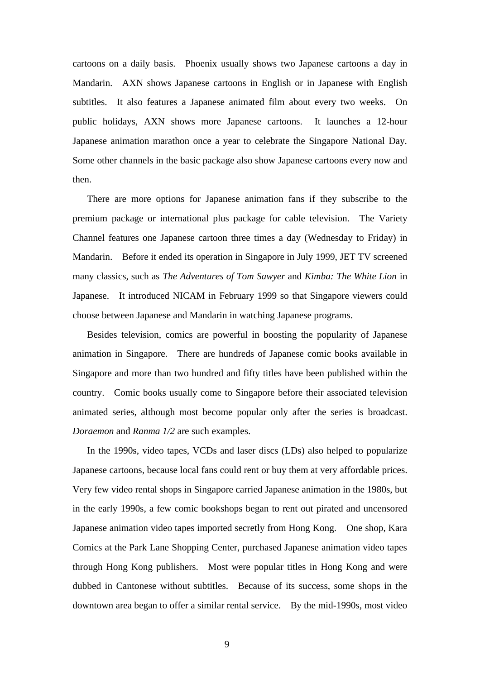cartoons on a daily basis. Phoenix usually shows two Japanese cartoons a day in Mandarin. AXN shows Japanese cartoons in English or in Japanese with English subtitles. It also features a Japanese animated film about every two weeks. On public holidays, AXN shows more Japanese cartoons. It launches a 12-hour Japanese animation marathon once a year to celebrate the Singapore National Day. Some other channels in the basic package also show Japanese cartoons every now and then.

There are more options for Japanese animation fans if they subscribe to the premium package or international plus package for cable television. The Variety Channel features one Japanese cartoon three times a day (Wednesday to Friday) in Mandarin. Before it ended its operation in Singapore in July 1999, JET TV screened many classics, such as *The Adventures of Tom Sawyer* and *Kimba: The White Lion* in Japanese. It introduced NICAM in February 1999 so that Singapore viewers could choose between Japanese and Mandarin in watching Japanese programs.

Besides television, comics are powerful in boosting the popularity of Japanese animation in Singapore. There are hundreds of Japanese comic books available in Singapore and more than two hundred and fifty titles have been published within the country. Comic books usually come to Singapore before their associated television animated series, although most become popular only after the series is broadcast. *Doraemon* and *Ranma 1/2* are such examples.

In the 1990s, video tapes, VCDs and laser discs (LDs) also helped to popularize Japanese cartoons, because local fans could rent or buy them at very affordable prices. Very few video rental shops in Singapore carried Japanese animation in the 1980s, but in the early 1990s, a few comic bookshops began to rent out pirated and uncensored Japanese animation video tapes imported secretly from Hong Kong. One shop, Kara Comics at the Park Lane Shopping Center, purchased Japanese animation video tapes through Hong Kong publishers. Most were popular titles in Hong Kong and were dubbed in Cantonese without subtitles. Because of its success, some shops in the downtown area began to offer a similar rental service. By the mid-1990s, most video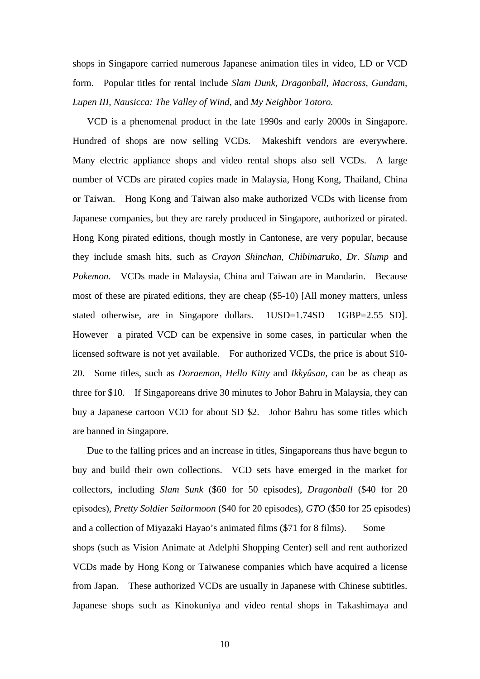shops in Singapore carried numerous Japanese animation tiles in video, LD or VCD form. Popular titles for rental include *Slam Dunk, Dragonball, Macross, Gundam, Lupen III, Nausicca: The Valley of Wind*, and *My Neighbor Totoro.*

VCD is a phenomenal product in the late 1990s and early 2000s in Singapore. Hundred of shops are now selling VCDs. Makeshift vendors are everywhere. Many electric appliance shops and video rental shops also sell VCDs. A large number of VCDs are pirated copies made in Malaysia, Hong Kong, Thailand, China or Taiwan. Hong Kong and Taiwan also make authorized VCDs with license from Japanese companies, but they are rarely produced in Singapore, authorized or pirated. Hong Kong pirated editions, though mostly in Cantonese, are very popular, because they include smash hits, such as *Crayon Shinchan, Chibimaruko*, *Dr. Slump* and *Pokemon*. VCDs made in Malaysia, China and Taiwan are in Mandarin. Because most of these are pirated editions, they are cheap (\$5-10) [All money matters, unless stated otherwise, are in Singapore dollars. 1USD=1.74SD 1GBP=2.55 SD]. However a pirated VCD can be expensive in some cases, in particular when the licensed software is not yet available. For authorized VCDs, the price is about \$10- 20. Some titles, such as *Doraemon*, *Hello Kitty* and *Ikkyûsan,* can be as cheap as three for \$10. If Singaporeans drive 30 minutes to Johor Bahru in Malaysia, they can buy a Japanese cartoon VCD for about SD \$2. Johor Bahru has some titles which are banned in Singapore.

Due to the falling prices and an increase in titles, Singaporeans thus have begun to buy and build their own collections. VCD sets have emerged in the market for collectors, including *Slam Sunk* (\$60 for 50 episodes), *Dragonball* (\$40 for 20 episodes), *Pretty Soldier Sailormoon* (\$40 for 20 episodes), *GTO* (\$50 for 25 episodes) and a collection of Miyazaki Hayao's animated films (\$71 for 8 films). Some shops (such as Vision Animate at Adelphi Shopping Center) sell and rent authorized VCDs made by Hong Kong or Taiwanese companies which have acquired a license from Japan. These authorized VCDs are usually in Japanese with Chinese subtitles. Japanese shops such as Kinokuniya and video rental shops in Takashimaya and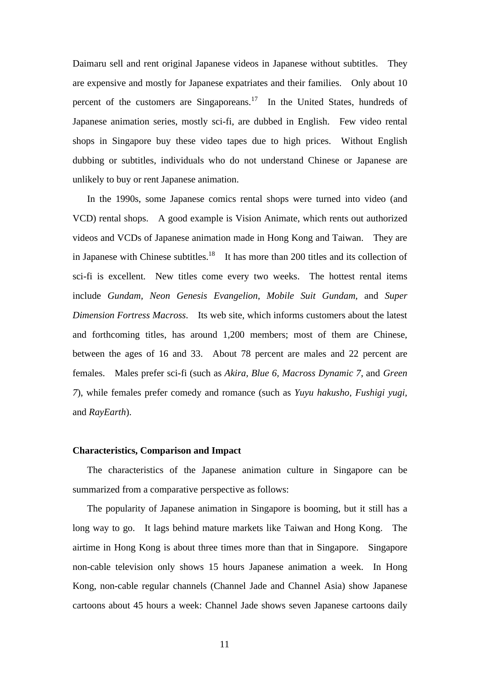Daimaru sell and rent original Japanese videos in Japanese without subtitles. They are expensive and mostly for Japanese expatriates and their families. Only about 10 percent of the customers are Singaporeans.<sup>17</sup> In the United States, hundreds of Japanese animation series, mostly sci-fi, are dubbed in English. Few video rental shops in Singapore buy these video tapes due to high prices. Without English dubbing or subtitles, individuals who do not understand Chinese or Japanese are unlikely to buy or rent Japanese animation.

In the 1990s, some Japanese comics rental shops were turned into video (and VCD) rental shops. A good example is Vision Animate, which rents out authorized videos and VCDs of Japanese animation made in Hong Kong and Taiwan. They are in Japanese with Chinese subtitles.<sup>18</sup> It has more than 200 titles and its collection of sci-fi is excellent. New titles come every two weeks. The hottest rental items include *Gundam, Neon Genesis Evangelion*, *Mobile Suit Gundam,* and *Super Dimension Fortress Macross*. Its web site, which informs customers about the latest and forthcoming titles, has around 1,200 members; most of them are Chinese, between the ages of 16 and 33. About 78 percent are males and 22 percent are females. Males prefer sci-fi (such as *Akira, Blue 6, Macross Dynamic 7*, and *Green 7*), while females prefer comedy and romance (such as *Yuyu hakusho, Fushigi yugi,* and *RayEarth*).

#### **Characteristics, Comparison and Impact**

The characteristics of the Japanese animation culture in Singapore can be summarized from a comparative perspective as follows:

The popularity of Japanese animation in Singapore is booming, but it still has a long way to go. It lags behind mature markets like Taiwan and Hong Kong. The airtime in Hong Kong is about three times more than that in Singapore. Singapore non-cable television only shows 15 hours Japanese animation a week. In Hong Kong, non-cable regular channels (Channel Jade and Channel Asia) show Japanese cartoons about 45 hours a week: Channel Jade shows seven Japanese cartoons daily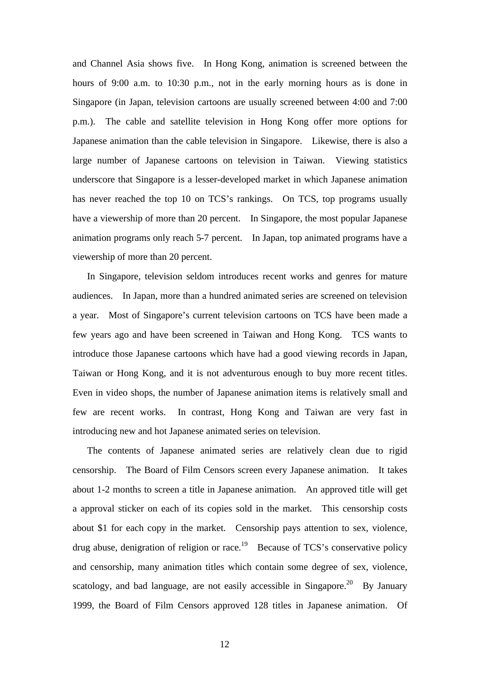and Channel Asia shows five. In Hong Kong, animation is screened between the hours of 9:00 a.m. to 10:30 p.m., not in the early morning hours as is done in Singapore (in Japan, television cartoons are usually screened between 4:00 and 7:00 p.m.). The cable and satellite television in Hong Kong offer more options for Japanese animation than the cable television in Singapore. Likewise, there is also a large number of Japanese cartoons on television in Taiwan. Viewing statistics underscore that Singapore is a lesser-developed market in which Japanese animation has never reached the top 10 on TCS's rankings. On TCS, top programs usually have a viewership of more than 20 percent. In Singapore, the most popular Japanese animation programs only reach 5-7 percent. In Japan, top animated programs have a viewership of more than 20 percent.

In Singapore, television seldom introduces recent works and genres for mature audiences. In Japan, more than a hundred animated series are screened on television a year. Most of Singapore's current television cartoons on TCS have been made a few years ago and have been screened in Taiwan and Hong Kong. TCS wants to introduce those Japanese cartoons which have had a good viewing records in Japan, Taiwan or Hong Kong, and it is not adventurous enough to buy more recent titles. Even in video shops, the number of Japanese animation items is relatively small and few are recent works. In contrast, Hong Kong and Taiwan are very fast in introducing new and hot Japanese animated series on television.

The contents of Japanese animated series are relatively clean due to rigid censorship. The Board of Film Censors screen every Japanese animation. It takes about 1-2 months to screen a title in Japanese animation. An approved title will get a approval sticker on each of its copies sold in the market. This censorship costs about \$1 for each copy in the market. Censorship pays attention to sex, violence, drug abuse, denigration of religion or race.<sup>19</sup> Because of TCS's conservative policy and censorship, many animation titles which contain some degree of sex, violence, scatology, and bad language, are not easily accessible in Singapore.<sup>20</sup> By January 1999, the Board of Film Censors approved 128 titles in Japanese animation. Of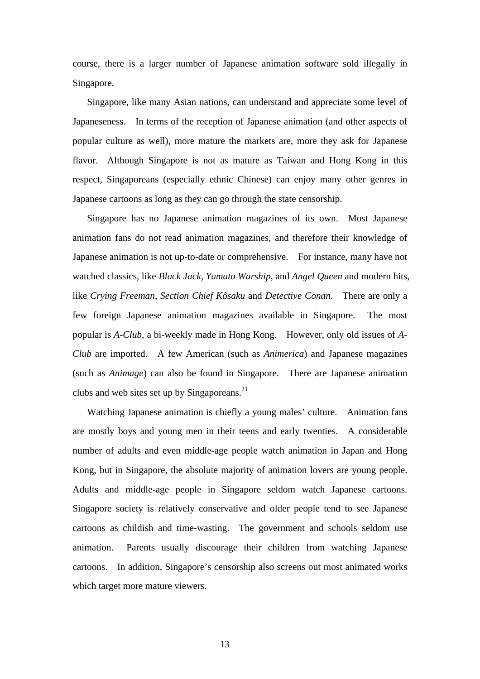course, there is a larger number of Japanese animation software sold illegally in Singapore.

Singapore, like many Asian nations, can understand and appreciate some level of Japaneseness. In terms of the reception of Japanese animation (and other aspects of popular culture as well), more mature the markets are, more they ask for Japanese flavor. Although Singapore is not as mature as Taiwan and Hong Kong in this respect, Singaporeans (especially ethnic Chinese) can enjoy many other genres in Japanese cartoons as long as they can go through the state censorship.

Singapore has no Japanese animation magazines of its own. Most Japanese animation fans do not read animation magazines, and therefore their knowledge of Japanese animation is not up-to-date or comprehensive. For instance, many have not watched classics, like *Black Jack, Yamato Warship*, and *Angel Queen* and modern hits, like *Crying Freeman*, *Section Chief Kôsaku* and *Detective Conan*. There are only a few foreign Japanese animation magazines available in Singapore. The most popular is *A-Club*, a bi-weekly made in Hong Kong. However, only old issues of *A-Club* are imported. A few American (such as *Animerica*) and Japanese magazines (such as *Animage*) can also be found in Singapore. There are Japanese animation clubs and web sites set up by Singaporeans. $21$ 

Watching Japanese animation is chiefly a young males' culture. Animation fans are mostly boys and young men in their teens and early twenties. A considerable number of adults and even middle-age people watch animation in Japan and Hong Kong, but in Singapore, the absolute majority of animation lovers are young people. Adults and middle-age people in Singapore seldom watch Japanese cartoons. Singapore society is relatively conservative and older people tend to see Japanese cartoons as childish and time-wasting. The government and schools seldom use animation. Parents usually discourage their children from watching Japanese cartoons. In addition, Singapore's censorship also screens out most animated works which target more mature viewers.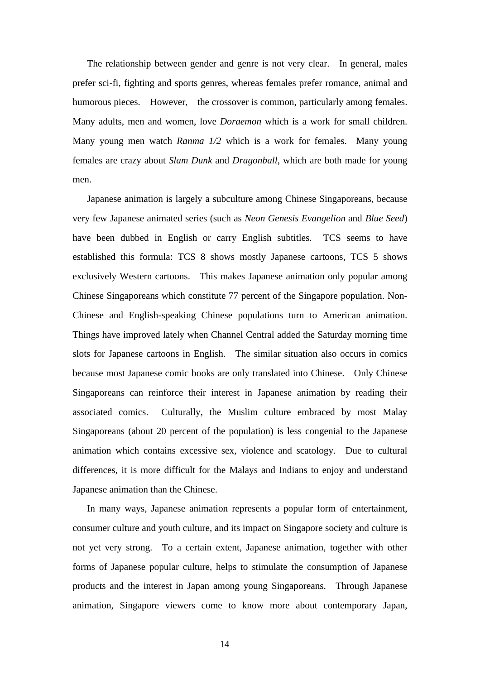The relationship between gender and genre is not very clear. In general, males prefer sci-fi, fighting and sports genres, whereas females prefer romance, animal and humorous pieces. However, the crossover is common, particularly among females. Many adults, men and women, love *Doraemon* which is a work for small children. Many young men watch *Ranma 1/2* which is a work for females. Many young females are crazy about *Slam Dunk* and *Dragonball*, which are both made for young men.

Japanese animation is largely a subculture among Chinese Singaporeans, because very few Japanese animated series (such as *Neon Genesis Evangelion* and *Blue Seed*) have been dubbed in English or carry English subtitles. TCS seems to have established this formula: TCS 8 shows mostly Japanese cartoons, TCS 5 shows exclusively Western cartoons. This makes Japanese animation only popular among Chinese Singaporeans which constitute 77 percent of the Singapore population. Non-Chinese and English-speaking Chinese populations turn to American animation. Things have improved lately when Channel Central added the Saturday morning time slots for Japanese cartoons in English. The similar situation also occurs in comics because most Japanese comic books are only translated into Chinese. Only Chinese Singaporeans can reinforce their interest in Japanese animation by reading their associated comics. Culturally, the Muslim culture embraced by most Malay Singaporeans (about 20 percent of the population) is less congenial to the Japanese animation which contains excessive sex, violence and scatology. Due to cultural differences, it is more difficult for the Malays and Indians to enjoy and understand Japanese animation than the Chinese.

In many ways, Japanese animation represents a popular form of entertainment, consumer culture and youth culture, and its impact on Singapore society and culture is not yet very strong. To a certain extent, Japanese animation, together with other forms of Japanese popular culture, helps to stimulate the consumption of Japanese products and the interest in Japan among young Singaporeans. Through Japanese animation, Singapore viewers come to know more about contemporary Japan,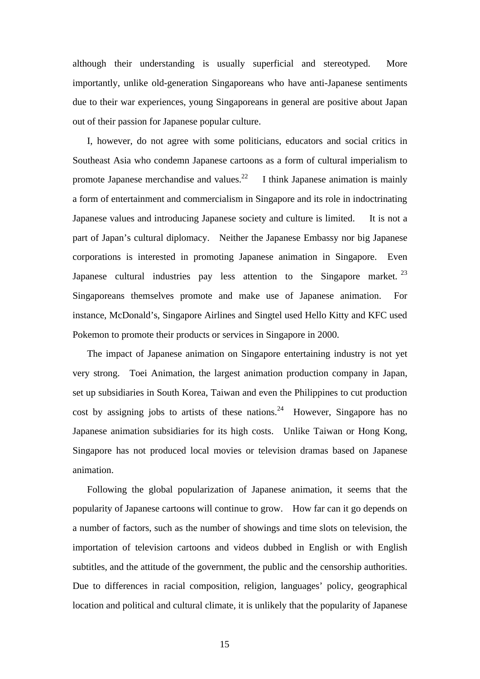although their understanding is usually superficial and stereotyped. More importantly, unlike old-generation Singaporeans who have anti-Japanese sentiments due to their war experiences, young Singaporeans in general are positive about Japan out of their passion for Japanese popular culture.

I, however, do not agree with some politicians, educators and social critics in Southeast Asia who condemn Japanese cartoons as a form of cultural imperialism to promote Japanese merchandise and values.<sup>22</sup> I think Japanese animation is mainly a form of entertainment and commercialism in Singapore and its role in indoctrinating Japanese values and introducing Japanese society and culture is limited. It is not a part of Japan's cultural diplomacy. Neither the Japanese Embassy nor big Japanese corporations is interested in promoting Japanese animation in Singapore. Even Japanese cultural industries pay less attention to the Singapore market.  $2^3$ Singaporeans themselves promote and make use of Japanese animation. For instance, McDonald's, Singapore Airlines and Singtel used Hello Kitty and KFC used Pokemon to promote their products or services in Singapore in 2000.

The impact of Japanese animation on Singapore entertaining industry is not yet very strong. Toei Animation, the largest animation production company in Japan, set up subsidiaries in South Korea, Taiwan and even the Philippines to cut production cost by assigning jobs to artists of these nations.<sup>24</sup> However, Singapore has no Japanese animation subsidiaries for its high costs. Unlike Taiwan or Hong Kong, Singapore has not produced local movies or television dramas based on Japanese animation.

Following the global popularization of Japanese animation, it seems that the popularity of Japanese cartoons will continue to grow. How far can it go depends on a number of factors, such as the number of showings and time slots on television, the importation of television cartoons and videos dubbed in English or with English subtitles, and the attitude of the government, the public and the censorship authorities. Due to differences in racial composition, religion, languages' policy, geographical location and political and cultural climate, it is unlikely that the popularity of Japanese

15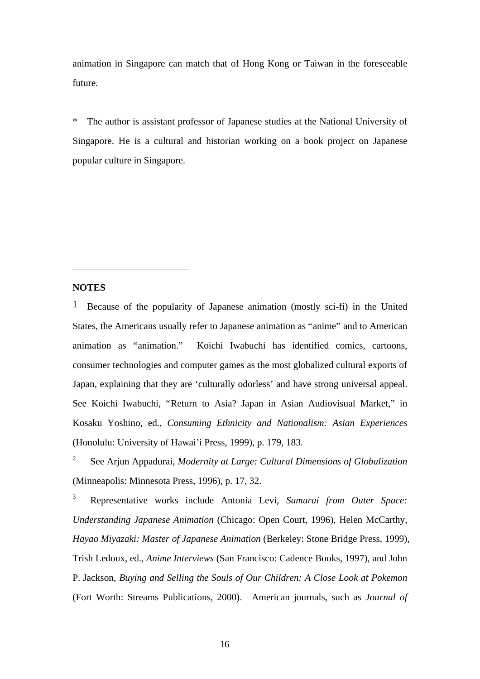animation in Singapore can match that of Hong Kong or Taiwan in the foreseeable future.

\* The author is assistant professor of Japanese studies at the National University of Singapore. He is a cultural and historian working on a book project on Japanese popular culture in Singapore.

## **NOTES**

 $\overline{a}$ 

1 Because of the popularity of Japanese animation (mostly sci-fi) in the United States, the Americans usually refer to Japanese animation as "anime" and to American animation as "animation." Koichi Iwabuchi has identified comics, cartoons, consumer technologies and computer games as the most globalized cultural exports of Japan, explaining that they are 'culturally odorless' and have strong universal appeal. See Koichi Iwabuchi, "Return to Asia? Japan in Asian Audiovisual Market," in Kosaku Yoshino, ed., *Consuming Ethnicity and Nationalism: Asian Experiences* (Honolulu: University of Hawai'i Press, 1999), p. 179, 183.

2 See Arjun Appadurai, *Modernity at Large: Cultural Dimensions of Globalization* (Minneapolis: Minnesota Press, 1996), p. 17, 32.

<sup>3</sup> Representative works include Antonia Levi, *Samurai from Outer Space: Understanding Japanese Animation* (Chicago: Open Court, 1996), Helen McCarthy, *Hayao Miyazaki: Master of Japanese Animation* (Berkeley: Stone Bridge Press, 1999), Trish Ledoux, ed., *Anime Interviews* (San Francisco: Cadence Books, 1997), and John P. Jackson, *Buying and Selling the Souls of Our Children: A Close Look at Pokemon* (Fort Worth: Streams Publications, 2000). American journals, such as *Journal of*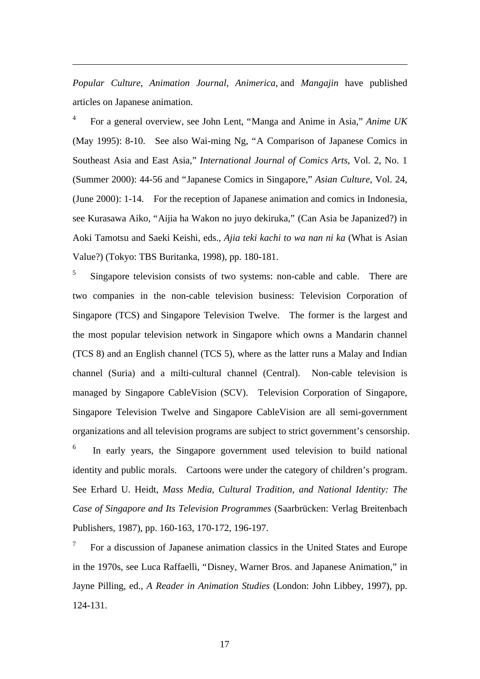*Popular Culture*, *Animation Journal*, *Animerica*, and *Mangajin* have published articles on Japanese animation.

4 For a general overview, see John Lent, "Manga and Anime in Asia," *Anime UK* (May 1995): 8-10. See also Wai-ming Ng, "A Comparison of Japanese Comics in Southeast Asia and East Asia," *International Journal of Comics Arts*, Vol. 2, No. 1 (Summer 2000): 44-56 and "Japanese Comics in Singapore," *Asian Culture*, Vol. 24, (June 2000): 1-14. For the reception of Japanese animation and comics in Indonesia, see Kurasawa Aiko, "Aijia ha Wakon no juyo dekiruka," (Can Asia be Japanized?) in Aoki Tamotsu and Saeki Keishi, eds., *Ajia teki kachi to wa nan ni ka* (What is Asian Value?) (Tokyo: TBS Buritanka, 1998), pp. 180-181.

5 Singapore television consists of two systems: non-cable and cable. There are two companies in the non-cable television business: Television Corporation of Singapore (TCS) and Singapore Television Twelve. The former is the largest and the most popular television network in Singapore which owns a Mandarin channel (TCS 8) and an English channel (TCS 5), where as the latter runs a Malay and Indian channel (Suria) and a milti-cultural channel (Central). Non-cable television is managed by Singapore CableVision (SCV). Television Corporation of Singapore, Singapore Television Twelve and Singapore CableVision are all semi-government organizations and all television programs are subject to strict government's censorship.

6 In early years, the Singapore government used television to build national identity and public morals. Cartoons were under the category of children's program. See Erhard U. Heidt, *Mass Media, Cultural Tradition, and National Identity: The Case of Singapore and Its Television Programmes* (Saarbrücken: Verlag Breitenbach Publishers, 1987), pp. 160-163, 170-172, 196-197.

7 For a discussion of Japanese animation classics in the United States and Europe in the 1970s, see Luca Raffaelli, "Disney, Warner Bros. and Japanese Animation," in Jayne Pilling, ed., *A Reader in Animation Studies* (London: John Libbey, 1997), pp. 124-131.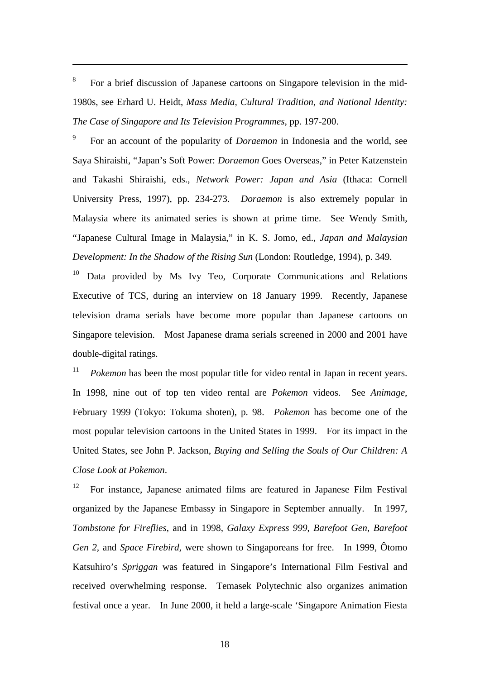8 For a brief discussion of Japanese cartoons on Singapore television in the mid-1980s, see Erhard U. Heidt, *Mass Media, Cultural Tradition, and National Identity: The Case of Singapore and Its Television Programmes*, pp. 197-200.

9 For an account of the popularity of *Doraemon* in Indonesia and the world, see Saya Shiraishi, "Japan's Soft Power: *Doraemon* Goes Overseas," in Peter Katzenstein and Takashi Shiraishi, eds., *Network Power: Japan and Asia* (Ithaca: Cornell University Press, 1997), pp. 234-273. *Doraemon* is also extremely popular in Malaysia where its animated series is shown at prime time. See Wendy Smith, "Japanese Cultural Image in Malaysia," in K. S. Jomo, ed., *Japan and Malaysian Development: In the Shadow of the Rising Sun* (London: Routledge, 1994), p. 349.

 $10$  Data provided by Ms Ivy Teo, Corporate Communications and Relations Executive of TCS, during an interview on 18 January 1999. Recently, Japanese television drama serials have become more popular than Japanese cartoons on Singapore television. Most Japanese drama serials screened in 2000 and 2001 have double-digital ratings.

<sup>11</sup> *Pokemon* has been the most popular title for video rental in Japan in recent years. In 1998, nine out of top ten video rental are *Pokemon* videos. See *Animage*, February 1999 (Tokyo: Tokuma shoten), p. 98. *Pokemon* has become one of the most popular television cartoons in the United States in 1999. For its impact in the United States, see John P. Jackson, *Buying and Selling the Souls of Our Children: A Close Look at Pokemon*.

<sup>12</sup> For instance, Japanese animated films are featured in Japanese Film Festival organized by the Japanese Embassy in Singapore in September annually. In 1997, *Tombstone for Fireflies*, and in 1998, *Galaxy Express 999*, *Barefoot Gen*, *Barefoot Gen* 2, and *Space Firebird*, were shown to Singaporeans for free. In 1999, Ôtomo Katsuhiro's *Spriggan* was featured in Singapore's International Film Festival and received overwhelming response. Temasek Polytechnic also organizes animation festival once a year. In June 2000, it held a large-scale 'Singapore Animation Fiesta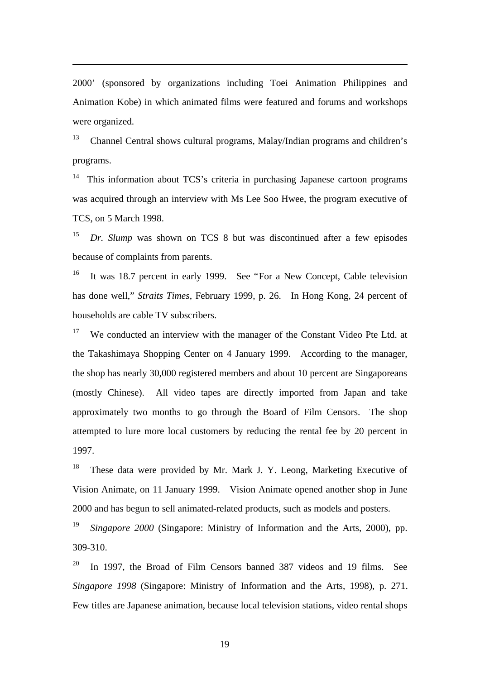2000' (sponsored by organizations including Toei Animation Philippines and Animation Kobe) in which animated films were featured and forums and workshops were organized.

<sup>13</sup> Channel Central shows cultural programs, Malay/Indian programs and children's programs.

 $14$  This information about TCS's criteria in purchasing Japanese cartoon programs was acquired through an interview with Ms Lee Soo Hwee, the program executive of TCS, on 5 March 1998.

<sup>15</sup> *Dr. Slump* was shown on TCS 8 but was discontinued after a few episodes because of complaints from parents.

<sup>16</sup> It was 18.7 percent in early 1999. See "For a New Concept, Cable television has done well," *Straits Times*, February 1999, p. 26. In Hong Kong, 24 percent of households are cable TV subscribers.

 $17$  We conducted an interview with the manager of the Constant Video Pte Ltd. at the Takashimaya Shopping Center on 4 January 1999. According to the manager, the shop has nearly 30,000 registered members and about 10 percent are Singaporeans (mostly Chinese). All video tapes are directly imported from Japan and take approximately two months to go through the Board of Film Censors. The shop attempted to lure more local customers by reducing the rental fee by 20 percent in 1997.

<sup>18</sup> These data were provided by Mr. Mark J. Y. Leong, Marketing Executive of Vision Animate, on 11 January 1999. Vision Animate opened another shop in June 2000 and has begun to sell animated-related products, such as models and posters.

<sup>19</sup> *Singapore 2000* (Singapore: Ministry of Information and the Arts, 2000), pp. 309-310.

<sup>20</sup> In 1997, the Broad of Film Censors banned 387 videos and 19 films. See *Singapore 1998* (Singapore: Ministry of Information and the Arts, 1998), p. 271. Few titles are Japanese animation, because local television stations, video rental shops